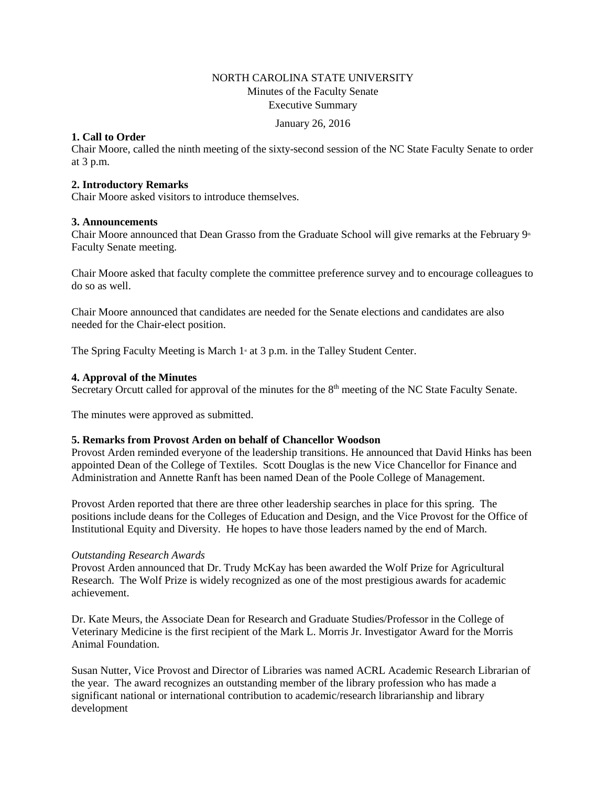# NORTH CAROLINA STATE UNIVERSITY Minutes of the Faculty Senate Executive Summary

January 26, 2016

## **1. Call to Order**

Chair Moore, called the ninth meeting of the sixty-second session of the NC State Faculty Senate to order at 3 p.m.

## **2. Introductory Remarks**

Chair Moore asked visitors to introduce themselves.

## **3. Announcements**

Chair Moore announced that Dean Grasso from the Graduate School will give remarks at the February 9<sup>th</sup> Faculty Senate meeting.

Chair Moore asked that faculty complete the committee preference survey and to encourage colleagues to do so as well.

Chair Moore announced that candidates are needed for the Senate elections and candidates are also needed for the Chair-elect position.

The Spring Faculty Meeting is March  $1<sup>s</sup>$  at 3 p.m. in the Talley Student Center.

## **4. Approval of the Minutes**

Secretary Orcutt called for approval of the minutes for the  $8<sup>th</sup>$  meeting of the NC State Faculty Senate.

The minutes were approved as submitted.

## **5. Remarks from Provost Arden on behalf of Chancellor Woodson**

Provost Arden reminded everyone of the leadership transitions. He announced that David Hinks has been appointed Dean of the College of Textiles. Scott Douglas is the new Vice Chancellor for Finance and Administration and Annette Ranft has been named Dean of the Poole College of Management.

Provost Arden reported that there are three other leadership searches in place for this spring. The positions include deans for the Colleges of Education and Design, and the Vice Provost for the Office of Institutional Equity and Diversity. He hopes to have those leaders named by the end of March.

## *Outstanding Research Awards*

Provost Arden announced that Dr. Trudy McKay has been awarded the Wolf Prize for Agricultural Research. The Wolf Prize is widely recognized as one of the most prestigious awards for academic achievement.

Dr. Kate Meurs, the Associate Dean for Research and Graduate Studies/Professor in the College of Veterinary Medicine is the first recipient of the Mark L. Morris Jr. Investigator Award for the Morris Animal Foundation.

Susan Nutter, Vice Provost and Director of Libraries was named ACRL Academic Research Librarian of the year. The award recognizes an outstanding member of the library profession who has made a significant national or international contribution to academic/research librarianship and library development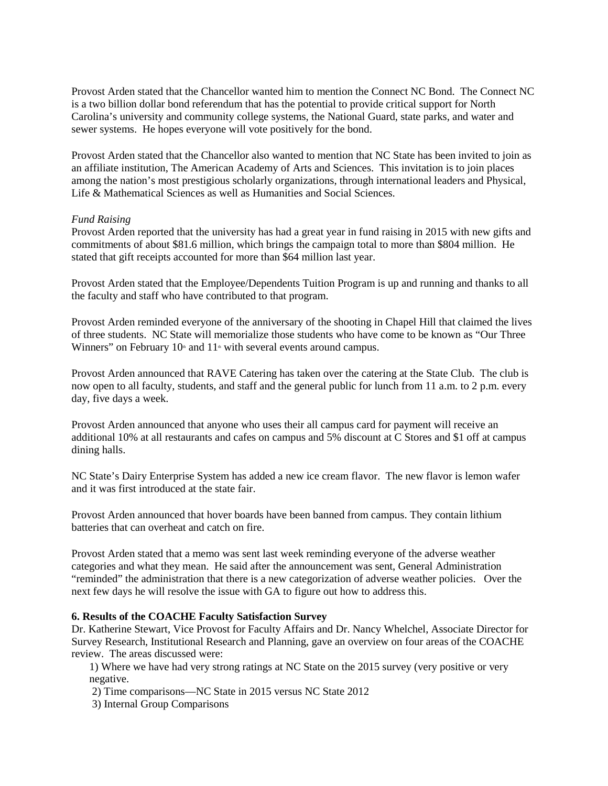Provost Arden stated that the Chancellor wanted him to mention the Connect NC Bond. The Connect NC is a two billion dollar bond referendum that has the potential to provide critical support for North Carolina's university and community college systems, the National Guard, state parks, and water and sewer systems. He hopes everyone will vote positively for the bond.

Provost Arden stated that the Chancellor also wanted to mention that NC State has been invited to join as an affiliate institution, The American Academy of Arts and Sciences. This invitation is to join places among the nation's most prestigious scholarly organizations, through international leaders and Physical, Life & Mathematical Sciences as well as Humanities and Social Sciences.

### *Fund Raising*

Provost Arden reported that the university has had a great year in fund raising in 2015 with new gifts and commitments of about \$81.6 million, which brings the campaign total to more than \$804 million. He stated that gift receipts accounted for more than \$64 million last year.

Provost Arden stated that the Employee/Dependents Tuition Program is up and running and thanks to all the faculty and staff who have contributed to that program.

Provost Arden reminded everyone of the anniversary of the shooting in Chapel Hill that claimed the lives of three students. NC State will memorialize those students who have come to be known as "Our Three Winners" on February  $10<sup>th</sup>$  and  $11<sup>th</sup>$  with several events around campus.

Provost Arden announced that RAVE Catering has taken over the catering at the State Club. The club is now open to all faculty, students, and staff and the general public for lunch from 11 a.m. to 2 p.m. every day, five days a week.

Provost Arden announced that anyone who uses their all campus card for payment will receive an additional 10% at all restaurants and cafes on campus and 5% discount at C Stores and \$1 off at campus dining halls.

NC State's Dairy Enterprise System has added a new ice cream flavor. The new flavor is lemon wafer and it was first introduced at the state fair.

Provost Arden announced that hover boards have been banned from campus. They contain lithium batteries that can overheat and catch on fire.

Provost Arden stated that a memo was sent last week reminding everyone of the adverse weather categories and what they mean. He said after the announcement was sent, General Administration "reminded" the administration that there is a new categorization of adverse weather policies. Over the next few days he will resolve the issue with GA to figure out how to address this.

### **6. Results of the COACHE Faculty Satisfaction Survey**

Dr. Katherine Stewart, Vice Provost for Faculty Affairs and Dr. Nancy Whelchel, Associate Director for Survey Research, Institutional Research and Planning, gave an overview on four areas of the COACHE review. The areas discussed were:

1) Where we have had very strong ratings at NC State on the 2015 survey (very positive or very negative.

- 2) Time comparisons—NC State in 2015 versus NC State 2012
- 3) Internal Group Comparisons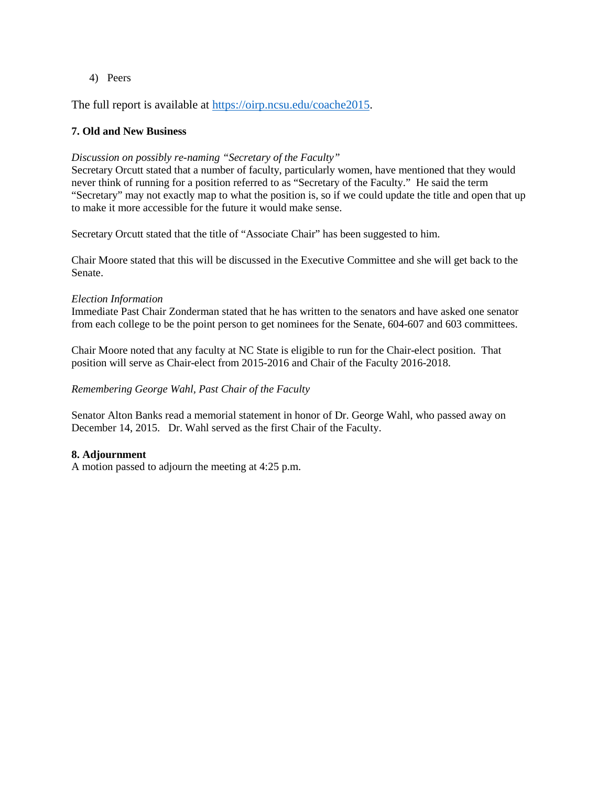4) Peers

The full report is available at [https://oirp.ncsu.edu/coache2015.](https://oirp.ncsu.edu/coache2015)

## **7. Old and New Business**

## *Discussion on possibly re-naming "Secretary of the Faculty"*

Secretary Orcutt stated that a number of faculty, particularly women, have mentioned that they would never think of running for a position referred to as "Secretary of the Faculty." He said the term "Secretary" may not exactly map to what the position is, so if we could update the title and open that up to make it more accessible for the future it would make sense.

Secretary Orcutt stated that the title of "Associate Chair" has been suggested to him.

Chair Moore stated that this will be discussed in the Executive Committee and she will get back to the Senate.

## *Election Information*

Immediate Past Chair Zonderman stated that he has written to the senators and have asked one senator from each college to be the point person to get nominees for the Senate, 604-607 and 603 committees.

Chair Moore noted that any faculty at NC State is eligible to run for the Chair-elect position. That position will serve as Chair-elect from 2015-2016 and Chair of the Faculty 2016-2018.

### *Remembering George Wahl, Past Chair of the Faculty*

Senator Alton Banks read a memorial statement in honor of Dr. George Wahl, who passed away on December 14, 2015. Dr. Wahl served as the first Chair of the Faculty.

## **8. Adjournment**

A motion passed to adjourn the meeting at 4:25 p.m.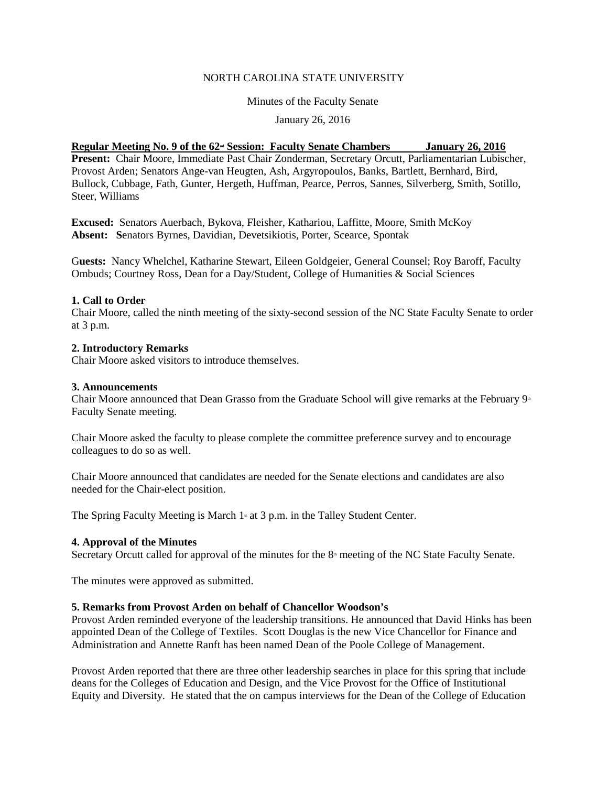### NORTH CAROLINA STATE UNIVERSITY

### Minutes of the Faculty Senate

## January 26, 2016

## **<u>Regular Meeting No. 9 of the 62<sup>nd</sup> Session: Faculty Senate Chambers January 26, 2016</u>**

**Present:** Chair Moore, Immediate Past Chair Zonderman, Secretary Orcutt, Parliamentarian Lubischer, Provost Arden; Senators Ange-van Heugten, Ash, Argyropoulos, Banks, Bartlett, Bernhard, Bird, Bullock, Cubbage, Fath, Gunter, Hergeth, Huffman, Pearce, Perros, Sannes, Silverberg, Smith, Sotillo, Steer, Williams

**Excused:** Senators Auerbach, Bykova, Fleisher, Kathariou, Laffitte, Moore, Smith McKoy **Absent: S**enators Byrnes, Davidian, Devetsikiotis, Porter, Scearce, Spontak

G**uests:** Nancy Whelchel, Katharine Stewart, Eileen Goldgeier, General Counsel; Roy Baroff, Faculty Ombuds; Courtney Ross, Dean for a Day/Student, College of Humanities & Social Sciences

### **1. Call to Order**

Chair Moore, called the ninth meeting of the sixty-second session of the NC State Faculty Senate to order at 3 p.m.

### **2. Introductory Remarks**

Chair Moore asked visitors to introduce themselves.

### **3. Announcements**

Chair Moore announced that Dean Grasso from the Graduate School will give remarks at the February  $9<sup>th</sup>$ Faculty Senate meeting.

Chair Moore asked the faculty to please complete the committee preference survey and to encourage colleagues to do so as well.

Chair Moore announced that candidates are needed for the Senate elections and candidates are also needed for the Chair-elect position.

The Spring Faculty Meeting is March  $1$ <sup>s</sup> at 3 p.m. in the Talley Student Center.

### **4. Approval of the Minutes**

Secretary Orcutt called for approval of the minutes for the 8<sup>th</sup> meeting of the NC State Faculty Senate.

The minutes were approved as submitted.

### **5. Remarks from Provost Arden on behalf of Chancellor Woodson's**

Provost Arden reminded everyone of the leadership transitions. He announced that David Hinks has been appointed Dean of the College of Textiles. Scott Douglas is the new Vice Chancellor for Finance and Administration and Annette Ranft has been named Dean of the Poole College of Management.

Provost Arden reported that there are three other leadership searches in place for this spring that include deans for the Colleges of Education and Design, and the Vice Provost for the Office of Institutional Equity and Diversity. He stated that the on campus interviews for the Dean of the College of Education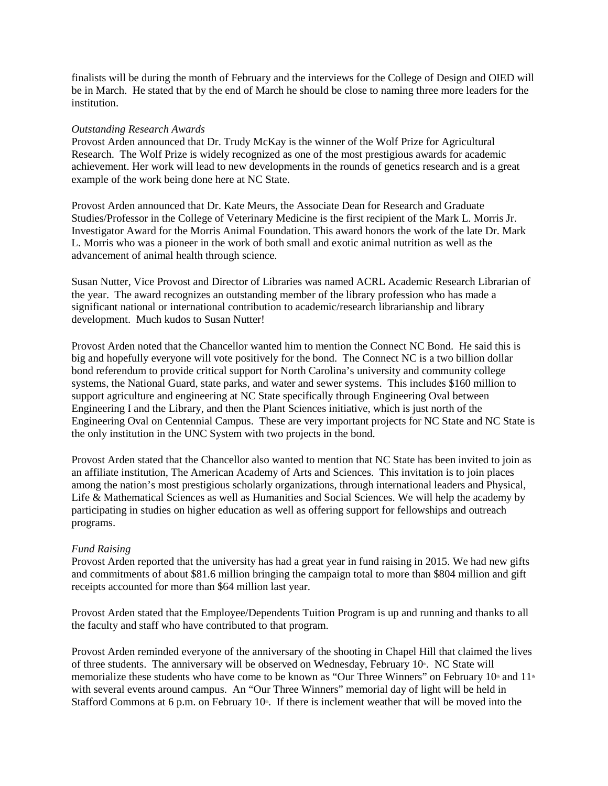finalists will be during the month of February and the interviews for the College of Design and OIED will be in March. He stated that by the end of March he should be close to naming three more leaders for the institution.

## *Outstanding Research Awards*

Provost Arden announced that Dr. Trudy McKay is the winner of the Wolf Prize for Agricultural Research. The Wolf Prize is widely recognized as one of the most prestigious awards for academic achievement. Her work will lead to new developments in the rounds of genetics research and is a great example of the work being done here at NC State.

Provost Arden announced that Dr. Kate Meurs, the Associate Dean for Research and Graduate Studies/Professor in the College of Veterinary Medicine is the first recipient of the Mark L. Morris Jr. Investigator Award for the Morris Animal Foundation. This award honors the work of the late Dr. Mark L. Morris who was a pioneer in the work of both small and exotic animal nutrition as well as the advancement of animal health through science.

Susan Nutter, Vice Provost and Director of Libraries was named ACRL Academic Research Librarian of the year. The award recognizes an outstanding member of the library profession who has made a significant national or international contribution to academic/research librarianship and library development. Much kudos to Susan Nutter!

Provost Arden noted that the Chancellor wanted him to mention the Connect NC Bond. He said this is big and hopefully everyone will vote positively for the bond. The Connect NC is a two billion dollar bond referendum to provide critical support for North Carolina's university and community college systems, the National Guard, state parks, and water and sewer systems. This includes \$160 million to support agriculture and engineering at NC State specifically through Engineering Oval between Engineering I and the Library, and then the Plant Sciences initiative, which is just north of the Engineering Oval on Centennial Campus. These are very important projects for NC State and NC State is the only institution in the UNC System with two projects in the bond.

Provost Arden stated that the Chancellor also wanted to mention that NC State has been invited to join as an affiliate institution, The American Academy of Arts and Sciences. This invitation is to join places among the nation's most prestigious scholarly organizations, through international leaders and Physical, Life & Mathematical Sciences as well as Humanities and Social Sciences. We will help the academy by participating in studies on higher education as well as offering support for fellowships and outreach programs.

### *Fund Raising*

Provost Arden reported that the university has had a great year in fund raising in 2015. We had new gifts and commitments of about \$81.6 million bringing the campaign total to more than \$804 million and gift receipts accounted for more than \$64 million last year.

Provost Arden stated that the Employee/Dependents Tuition Program is up and running and thanks to all the faculty and staff who have contributed to that program.

Provost Arden reminded everyone of the anniversary of the shooting in Chapel Hill that claimed the lives of three students. The anniversary will be observed on Wednesday, February  $10<sup>th</sup>$ . NC State will memorialize these students who have come to be known as "Our Three Winners" on February  $10<sup>th</sup>$  and  $11<sup>th</sup>$ with several events around campus. An "Our Three Winners" memorial day of light will be held in Stafford Commons at 6 p.m. on February  $10<sup>th</sup>$ . If there is inclement weather that will be moved into the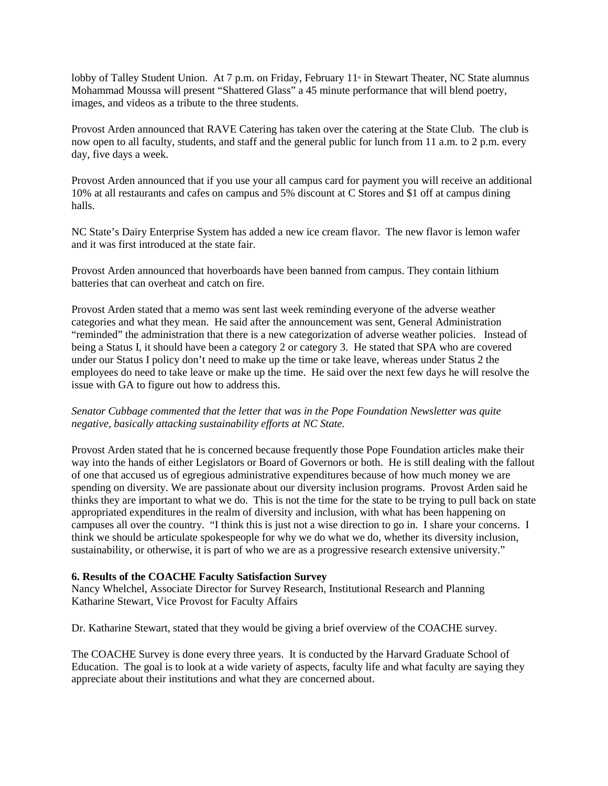lobby of Talley Student Union. At 7 p.m. on Friday, February  $11 \text{ m}$  in Stewart Theater, NC State alumnus Mohammad Moussa will present "Shattered Glass" a 45 minute performance that will blend poetry, images, and videos as a tribute to the three students.

Provost Arden announced that RAVE Catering has taken over the catering at the State Club. The club is now open to all faculty, students, and staff and the general public for lunch from 11 a.m. to 2 p.m. every day, five days a week.

Provost Arden announced that if you use your all campus card for payment you will receive an additional 10% at all restaurants and cafes on campus and 5% discount at C Stores and \$1 off at campus dining halls.

NC State's Dairy Enterprise System has added a new ice cream flavor. The new flavor is lemon wafer and it was first introduced at the state fair.

Provost Arden announced that hoverboards have been banned from campus. They contain lithium batteries that can overheat and catch on fire.

Provost Arden stated that a memo was sent last week reminding everyone of the adverse weather categories and what they mean. He said after the announcement was sent, General Administration "reminded" the administration that there is a new categorization of adverse weather policies. Instead of being a Status I, it should have been a category 2 or category 3. He stated that SPA who are covered under our Status I policy don't need to make up the time or take leave, whereas under Status 2 the employees do need to take leave or make up the time. He said over the next few days he will resolve the issue with GA to figure out how to address this.

## *Senator Cubbage commented that the letter that was in the Pope Foundation Newsletter was quite negative, basically attacking sustainability efforts at NC State.*

Provost Arden stated that he is concerned because frequently those Pope Foundation articles make their way into the hands of either Legislators or Board of Governors or both. He is still dealing with the fallout of one that accused us of egregious administrative expenditures because of how much money we are spending on diversity. We are passionate about our diversity inclusion programs. Provost Arden said he thinks they are important to what we do. This is not the time for the state to be trying to pull back on state appropriated expenditures in the realm of diversity and inclusion, with what has been happening on campuses all over the country. "I think this is just not a wise direction to go in. I share your concerns. I think we should be articulate spokespeople for why we do what we do, whether its diversity inclusion, sustainability, or otherwise, it is part of who we are as a progressive research extensive university."

### **6. Results of the COACHE Faculty Satisfaction Survey**

Nancy Whelchel, Associate Director for Survey Research, Institutional Research and Planning Katharine Stewart, Vice Provost for Faculty Affairs

Dr. Katharine Stewart, stated that they would be giving a brief overview of the COACHE survey.

The COACHE Survey is done every three years. It is conducted by the Harvard Graduate School of Education. The goal is to look at a wide variety of aspects, faculty life and what faculty are saying they appreciate about their institutions and what they are concerned about.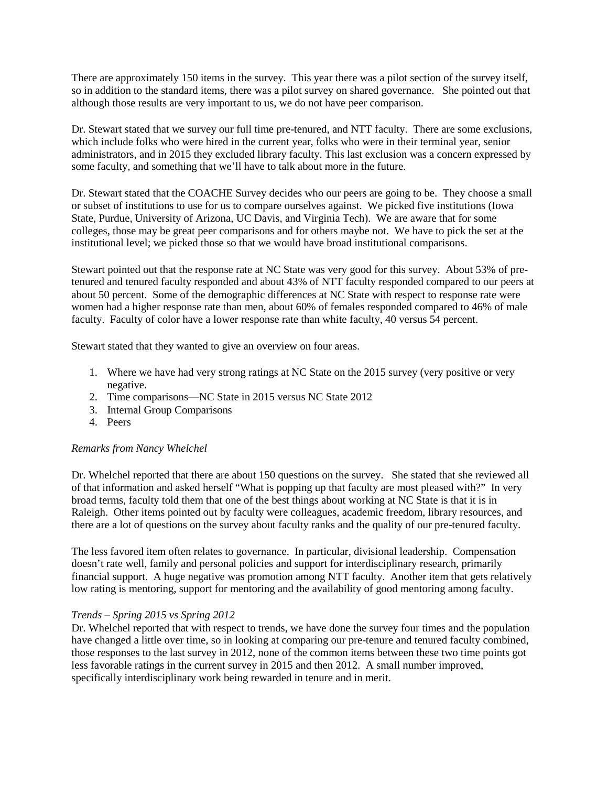There are approximately 150 items in the survey. This year there was a pilot section of the survey itself, so in addition to the standard items, there was a pilot survey on shared governance. She pointed out that although those results are very important to us, we do not have peer comparison.

Dr. Stewart stated that we survey our full time pre-tenured, and NTT faculty. There are some exclusions, which include folks who were hired in the current year, folks who were in their terminal year, senior administrators, and in 2015 they excluded library faculty. This last exclusion was a concern expressed by some faculty, and something that we'll have to talk about more in the future.

Dr. Stewart stated that the COACHE Survey decides who our peers are going to be. They choose a small or subset of institutions to use for us to compare ourselves against. We picked five institutions (Iowa State, Purdue, University of Arizona, UC Davis, and Virginia Tech). We are aware that for some colleges, those may be great peer comparisons and for others maybe not. We have to pick the set at the institutional level; we picked those so that we would have broad institutional comparisons.

Stewart pointed out that the response rate at NC State was very good for this survey. About 53% of pretenured and tenured faculty responded and about 43% of NTT faculty responded compared to our peers at about 50 percent. Some of the demographic differences at NC State with respect to response rate were women had a higher response rate than men, about 60% of females responded compared to 46% of male faculty. Faculty of color have a lower response rate than white faculty, 40 versus 54 percent.

Stewart stated that they wanted to give an overview on four areas.

- 1. Where we have had very strong ratings at NC State on the 2015 survey (very positive or very negative.
- 2. Time comparisons—NC State in 2015 versus NC State 2012
- 3. Internal Group Comparisons
- 4. Peers

### *Remarks from Nancy Whelchel*

Dr. Whelchel reported that there are about 150 questions on the survey. She stated that she reviewed all of that information and asked herself "What is popping up that faculty are most pleased with?" In very broad terms, faculty told them that one of the best things about working at NC State is that it is in Raleigh. Other items pointed out by faculty were colleagues, academic freedom, library resources, and there are a lot of questions on the survey about faculty ranks and the quality of our pre-tenured faculty.

The less favored item often relates to governance. In particular, divisional leadership. Compensation doesn't rate well, family and personal policies and support for interdisciplinary research, primarily financial support. A huge negative was promotion among NTT faculty. Another item that gets relatively low rating is mentoring, support for mentoring and the availability of good mentoring among faculty.

## *Trends – Spring 2015 vs Spring 2012*

Dr. Whelchel reported that with respect to trends, we have done the survey four times and the population have changed a little over time, so in looking at comparing our pre-tenure and tenured faculty combined, those responses to the last survey in 2012, none of the common items between these two time points got less favorable ratings in the current survey in 2015 and then 2012. A small number improved, specifically interdisciplinary work being rewarded in tenure and in merit.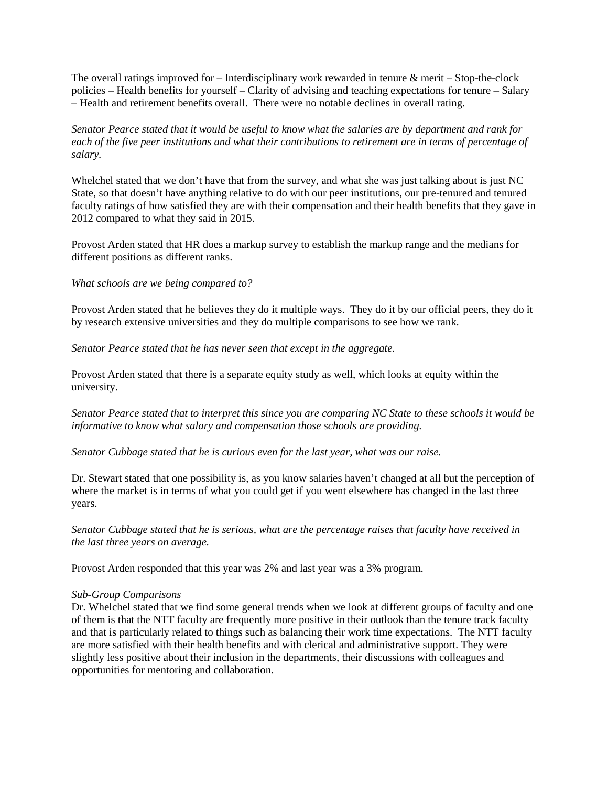The overall ratings improved for  $-$  Interdisciplinary work rewarded in tenure  $\&$  merit  $-$  Stop-the-clock policies – Health benefits for yourself – Clarity of advising and teaching expectations for tenure – Salary – Health and retirement benefits overall. There were no notable declines in overall rating.

*Senator Pearce stated that it would be useful to know what the salaries are by department and rank for each of the five peer institutions and what their contributions to retirement are in terms of percentage of salary.* 

Whelchel stated that we don't have that from the survey, and what she was just talking about is just NC State, so that doesn't have anything relative to do with our peer institutions, our pre-tenured and tenured faculty ratings of how satisfied they are with their compensation and their health benefits that they gave in 2012 compared to what they said in 2015.

Provost Arden stated that HR does a markup survey to establish the markup range and the medians for different positions as different ranks.

### *What schools are we being compared to?*

Provost Arden stated that he believes they do it multiple ways. They do it by our official peers, they do it by research extensive universities and they do multiple comparisons to see how we rank.

*Senator Pearce stated that he has never seen that except in the aggregate.* 

Provost Arden stated that there is a separate equity study as well, which looks at equity within the university.

*Senator Pearce stated that to interpret this since you are comparing NC State to these schools it would be informative to know what salary and compensation those schools are providing.* 

*Senator Cubbage stated that he is curious even for the last year, what was our raise.* 

Dr. Stewart stated that one possibility is, as you know salaries haven't changed at all but the perception of where the market is in terms of what you could get if you went elsewhere has changed in the last three years.

*Senator Cubbage stated that he is serious, what are the percentage raises that faculty have received in the last three years on average.* 

Provost Arden responded that this year was 2% and last year was a 3% program.

### *Sub-Group Comparisons*

Dr. Whelchel stated that we find some general trends when we look at different groups of faculty and one of them is that the NTT faculty are frequently more positive in their outlook than the tenure track faculty and that is particularly related to things such as balancing their work time expectations. The NTT faculty are more satisfied with their health benefits and with clerical and administrative support. They were slightly less positive about their inclusion in the departments, their discussions with colleagues and opportunities for mentoring and collaboration.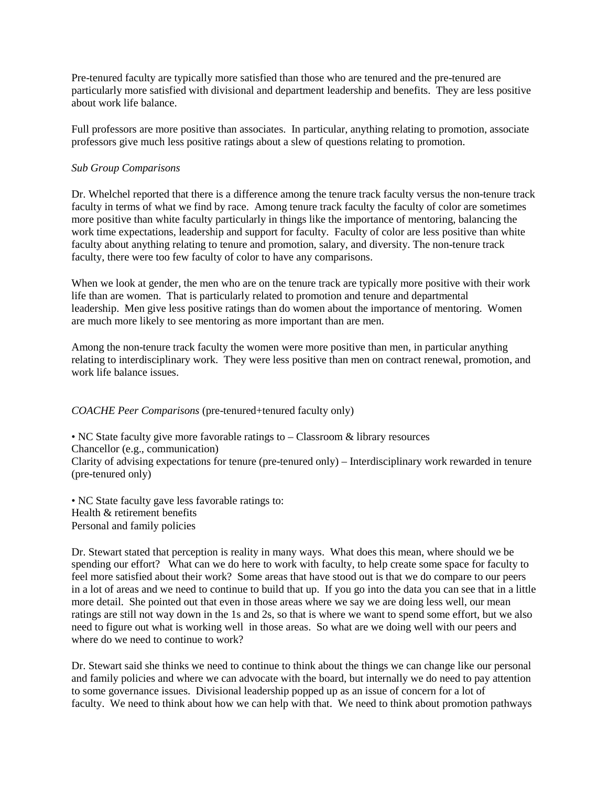Pre-tenured faculty are typically more satisfied than those who are tenured and the pre-tenured are particularly more satisfied with divisional and department leadership and benefits. They are less positive about work life balance.

Full professors are more positive than associates. In particular, anything relating to promotion, associate professors give much less positive ratings about a slew of questions relating to promotion.

### *Sub Group Comparisons*

Dr. Whelchel reported that there is a difference among the tenure track faculty versus the non-tenure track faculty in terms of what we find by race. Among tenure track faculty the faculty of color are sometimes more positive than white faculty particularly in things like the importance of mentoring, balancing the work time expectations, leadership and support for faculty. Faculty of color are less positive than white faculty about anything relating to tenure and promotion, salary, and diversity. The non-tenure track faculty, there were too few faculty of color to have any comparisons.

When we look at gender, the men who are on the tenure track are typically more positive with their work life than are women. That is particularly related to promotion and tenure and departmental leadership. Men give less positive ratings than do women about the importance of mentoring. Women are much more likely to see mentoring as more important than are men.

Among the non-tenure track faculty the women were more positive than men, in particular anything relating to interdisciplinary work. They were less positive than men on contract renewal, promotion, and work life balance issues.

## *COACHE Peer Comparisons* (pre-tenured+tenured faculty only)

• NC State faculty give more favorable ratings to – Classroom & library resources Chancellor (e.g., communication) Clarity of advising expectations for tenure (pre-tenured only) – Interdisciplinary work rewarded in tenure (pre-tenured only)

• NC State faculty gave less favorable ratings to: Health & retirement benefits Personal and family policies

Dr. Stewart stated that perception is reality in many ways. What does this mean, where should we be spending our effort? What can we do here to work with faculty, to help create some space for faculty to feel more satisfied about their work? Some areas that have stood out is that we do compare to our peers in a lot of areas and we need to continue to build that up. If you go into the data you can see that in a little more detail. She pointed out that even in those areas where we say we are doing less well, our mean ratings are still not way down in the 1s and 2s, so that is where we want to spend some effort, but we also need to figure out what is working well in those areas. So what are we doing well with our peers and where do we need to continue to work?

Dr. Stewart said she thinks we need to continue to think about the things we can change like our personal and family policies and where we can advocate with the board, but internally we do need to pay attention to some governance issues. Divisional leadership popped up as an issue of concern for a lot of faculty. We need to think about how we can help with that. We need to think about promotion pathways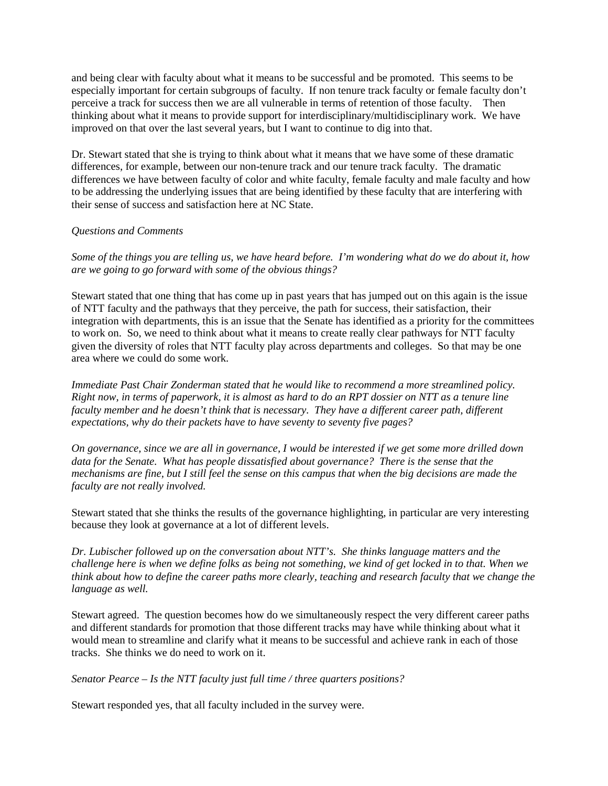and being clear with faculty about what it means to be successful and be promoted. This seems to be especially important for certain subgroups of faculty. If non tenure track faculty or female faculty don't perceive a track for success then we are all vulnerable in terms of retention of those faculty. Then thinking about what it means to provide support for interdisciplinary/multidisciplinary work. We have improved on that over the last several years, but I want to continue to dig into that.

Dr. Stewart stated that she is trying to think about what it means that we have some of these dramatic differences, for example, between our non-tenure track and our tenure track faculty. The dramatic differences we have between faculty of color and white faculty, female faculty and male faculty and how to be addressing the underlying issues that are being identified by these faculty that are interfering with their sense of success and satisfaction here at NC State.

## *Questions and Comments*

*Some of the things you are telling us, we have heard before. I'm wondering what do we do about it, how are we going to go forward with some of the obvious things?*

Stewart stated that one thing that has come up in past years that has jumped out on this again is the issue of NTT faculty and the pathways that they perceive, the path for success, their satisfaction, their integration with departments, this is an issue that the Senate has identified as a priority for the committees to work on. So, we need to think about what it means to create really clear pathways for NTT faculty given the diversity of roles that NTT faculty play across departments and colleges. So that may be one area where we could do some work.

*Immediate Past Chair Zonderman stated that he would like to recommend a more streamlined policy. Right now, in terms of paperwork, it is almost as hard to do an RPT dossier on NTT as a tenure line faculty member and he doesn't think that is necessary. They have a different career path, different expectations, why do their packets have to have seventy to seventy five pages?*

*On governance, since we are all in governance, I would be interested if we get some more drilled down data for the Senate. What has people dissatisfied about governance? There is the sense that the mechanisms are fine, but I still feel the sense on this campus that when the big decisions are made the faculty are not really involved.* 

Stewart stated that she thinks the results of the governance highlighting, in particular are very interesting because they look at governance at a lot of different levels.

*Dr. Lubischer followed up on the conversation about NTT's. She thinks language matters and the challenge here is when we define folks as being not something, we kind of get locked in to that. When we think about how to define the career paths more clearly, teaching and research faculty that we change the language as well.* 

Stewart agreed. The question becomes how do we simultaneously respect the very different career paths and different standards for promotion that those different tracks may have while thinking about what it would mean to streamline and clarify what it means to be successful and achieve rank in each of those tracks. She thinks we do need to work on it.

*Senator Pearce – Is the NTT faculty just full time / three quarters positions?*

Stewart responded yes, that all faculty included in the survey were.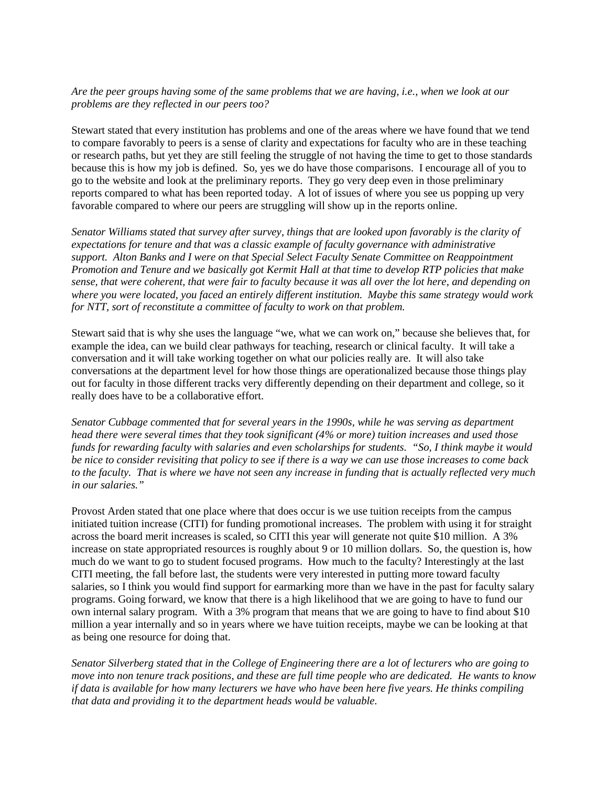## *Are the peer groups having some of the same problems that we are having, i.e., when we look at our problems are they reflected in our peers too?*

Stewart stated that every institution has problems and one of the areas where we have found that we tend to compare favorably to peers is a sense of clarity and expectations for faculty who are in these teaching or research paths, but yet they are still feeling the struggle of not having the time to get to those standards because this is how my job is defined. So, yes we do have those comparisons. I encourage all of you to go to the website and look at the preliminary reports. They go very deep even in those preliminary reports compared to what has been reported today. A lot of issues of where you see us popping up very favorable compared to where our peers are struggling will show up in the reports online.

*Senator Williams stated that survey after survey, things that are looked upon favorably is the clarity of expectations for tenure and that was a classic example of faculty governance with administrative support. Alton Banks and I were on that Special Select Faculty Senate Committee on Reappointment Promotion and Tenure and we basically got Kermit Hall at that time to develop RTP policies that make sense, that were coherent, that were fair to faculty because it was all over the lot here, and depending on where you were located, you faced an entirely different institution. Maybe this same strategy would work for NTT, sort of reconstitute a committee of faculty to work on that problem.* 

Stewart said that is why she uses the language "we, what we can work on," because she believes that, for example the idea, can we build clear pathways for teaching, research or clinical faculty. It will take a conversation and it will take working together on what our policies really are. It will also take conversations at the department level for how those things are operationalized because those things play out for faculty in those different tracks very differently depending on their department and college, so it really does have to be a collaborative effort.

*Senator Cubbage commented that for several years in the 1990s, while he was serving as department head there were several times that they took significant (4% or more) tuition increases and used those funds for rewarding faculty with salaries and even scholarships for students. "So, I think maybe it would be nice to consider revisiting that policy to see if there is a way we can use those increases to come back to the faculty. That is where we have not seen any increase in funding that is actually reflected very much in our salaries."*

Provost Arden stated that one place where that does occur is we use tuition receipts from the campus initiated tuition increase (CITI) for funding promotional increases. The problem with using it for straight across the board merit increases is scaled, so CITI this year will generate not quite \$10 million. A 3% increase on state appropriated resources is roughly about 9 or 10 million dollars. So, the question is, how much do we want to go to student focused programs. How much to the faculty? Interestingly at the last CITI meeting, the fall before last, the students were very interested in putting more toward faculty salaries, so I think you would find support for earmarking more than we have in the past for faculty salary programs. Going forward, we know that there is a high likelihood that we are going to have to fund our own internal salary program. With a 3% program that means that we are going to have to find about \$10 million a year internally and so in years where we have tuition receipts, maybe we can be looking at that as being one resource for doing that.

*Senator Silverberg stated that in the College of Engineering there are a lot of lecturers who are going to move into non tenure track positions, and these are full time people who are dedicated. He wants to know if data is available for how many lecturers we have who have been here five years. He thinks compiling that data and providing it to the department heads would be valuable.*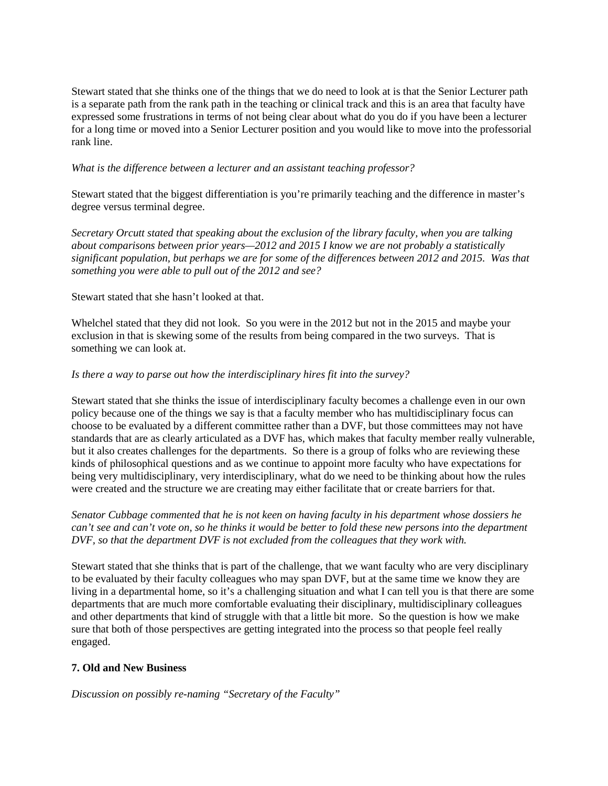Stewart stated that she thinks one of the things that we do need to look at is that the Senior Lecturer path is a separate path from the rank path in the teaching or clinical track and this is an area that faculty have expressed some frustrations in terms of not being clear about what do you do if you have been a lecturer for a long time or moved into a Senior Lecturer position and you would like to move into the professorial rank line.

## *What is the difference between a lecturer and an assistant teaching professor?*

Stewart stated that the biggest differentiation is you're primarily teaching and the difference in master's degree versus terminal degree.

*Secretary Orcutt stated that speaking about the exclusion of the library faculty, when you are talking about comparisons between prior years—2012 and 2015 I know we are not probably a statistically significant population, but perhaps we are for some of the differences between 2012 and 2015. Was that something you were able to pull out of the 2012 and see?* 

### Stewart stated that she hasn't looked at that.

Whelchel stated that they did not look. So you were in the 2012 but not in the 2015 and maybe your exclusion in that is skewing some of the results from being compared in the two surveys. That is something we can look at.

### *Is there a way to parse out how the interdisciplinary hires fit into the survey?*

Stewart stated that she thinks the issue of interdisciplinary faculty becomes a challenge even in our own policy because one of the things we say is that a faculty member who has multidisciplinary focus can choose to be evaluated by a different committee rather than a DVF, but those committees may not have standards that are as clearly articulated as a DVF has, which makes that faculty member really vulnerable, but it also creates challenges for the departments. So there is a group of folks who are reviewing these kinds of philosophical questions and as we continue to appoint more faculty who have expectations for being very multidisciplinary, very interdisciplinary, what do we need to be thinking about how the rules were created and the structure we are creating may either facilitate that or create barriers for that.

*Senator Cubbage commented that he is not keen on having faculty in his department whose dossiers he can't see and can't vote on, so he thinks it would be better to fold these new persons into the department DVF, so that the department DVF is not excluded from the colleagues that they work with.* 

Stewart stated that she thinks that is part of the challenge, that we want faculty who are very disciplinary to be evaluated by their faculty colleagues who may span DVF, but at the same time we know they are living in a departmental home, so it's a challenging situation and what I can tell you is that there are some departments that are much more comfortable evaluating their disciplinary, multidisciplinary colleagues and other departments that kind of struggle with that a little bit more. So the question is how we make sure that both of those perspectives are getting integrated into the process so that people feel really engaged.

## **7. Old and New Business**

*Discussion on possibly re-naming "Secretary of the Faculty"*